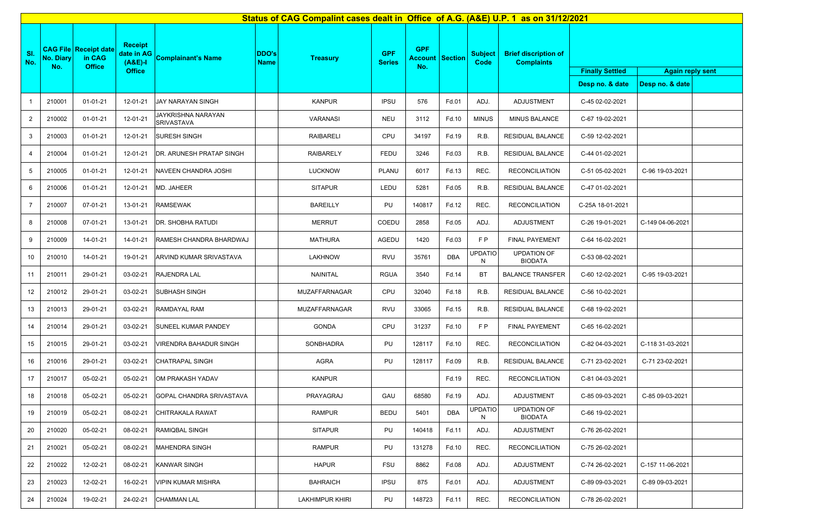|                | Status of CAG Compalint cases dealt in Office of A.G. (A&E) U.P. 1 as on 31/12/2021 |                                                         |                                                            |                                         |                      |                  |                             |                              |         |                        |                                                  |                        |                         |  |
|----------------|-------------------------------------------------------------------------------------|---------------------------------------------------------|------------------------------------------------------------|-----------------------------------------|----------------------|------------------|-----------------------------|------------------------------|---------|------------------------|--------------------------------------------------|------------------------|-------------------------|--|
| SI.<br>No.     | <b>No. Diary</b><br>No.                                                             | <b>CAG File Receipt date</b><br>in CAG<br><b>Office</b> | <b>Receipt</b><br>date in AG<br>$(A&E)-I$<br><b>Office</b> | <b>Complainant's Name</b>               | DDO's<br><b>Name</b> | <b>Treasury</b>  | <b>GPF</b><br><b>Series</b> | <b>GPF</b><br>Account<br>No. | Section | <b>Subject</b><br>Code | <b>Brief discription of</b><br><b>Complaints</b> | <b>Finally Settled</b> | <b>Again reply sent</b> |  |
|                |                                                                                     |                                                         |                                                            |                                         |                      |                  |                             |                              |         |                        |                                                  | Desp no. & date        | Desp no. & date         |  |
| -1             | 210001                                                                              | $01 - 01 - 21$                                          | 12-01-21                                                   | JAY NARAYAN SINGH                       |                      | <b>KANPUR</b>    | <b>IPSU</b>                 | 576                          | Fd.01   | ADJ.                   | ADJUSTMENT                                       | C-45 02-02-2021        |                         |  |
| $\overline{2}$ | 210002                                                                              | $01 - 01 - 21$                                          | 12-01-21                                                   | JAYKRISHNA NARAYAN<br><b>SRIVASTAVA</b> |                      | VARANASI         | NEU                         | 3112                         | Fd.10   | <b>MINUS</b>           | MINUS BALANCE                                    | C-67 19-02-2021        |                         |  |
| 3              | 210003                                                                              | $01 - 01 - 21$                                          | 12-01-21                                                   | SURESH SINGH                            |                      | <b>RAIBARELI</b> | CPU                         | 34197                        | Fd.19   | R.B.                   | RESIDUAL BALANCE                                 | C-59 12-02-2021        |                         |  |
| 4              | 210004                                                                              | 01-01-21                                                | 12-01-21                                                   | DR. ARUNESH PRATAP SINGH                |                      | <b>RAIBARELY</b> | <b>FEDU</b>                 | 3246                         | Fd.03   | R.B.                   | RESIDUAL BALANCE                                 | C-44 01-02-2021        |                         |  |
| 5              | 210005                                                                              | $01 - 01 - 21$                                          | 12-01-21                                                   | NAVEEN CHANDRA JOSHI                    |                      | <b>LUCKNOW</b>   | PLANU                       | 6017                         | Fd.13   | REC.                   | <b>RECONCILIATION</b>                            | C-51 05-02-2021        | C-96 19-03-2021         |  |
| 6              | 210006                                                                              | 01-01-21                                                | 12-01-21                                                   | MD. JAHEER                              |                      | <b>SITAPUR</b>   | LEDU                        | 5281                         | Fd.05   | R.B.                   | RESIDUAL BALANCE                                 | C-47 01-02-2021        |                         |  |
| $\overline{7}$ | 210007                                                                              | 07-01-21                                                | 13-01-21                                                   | <b>RAMSEWAK</b>                         |                      | <b>BAREILLY</b>  | PU                          | 140817                       | Fd.12   | REC.                   | <b>RECONCILIATION</b>                            | C-25A 18-01-2021       |                         |  |
| 8              | 210008                                                                              | 07-01-21                                                | 13-01-21                                                   | DR. SHOBHA RATUDI                       |                      | <b>MERRUT</b>    | COEDU                       | 2858                         | Fd.05   | ADJ.                   | ADJUSTMENT                                       | C-26 19-01-2021        | C-149 04-06-2021        |  |
| 9              | 210009                                                                              | 14-01-21                                                | 14-01-21                                                   | RAMESH CHANDRA BHARDWAJ                 |                      | <b>MATHURA</b>   | AGEDU                       | 1420                         | Fd.03   | FP                     | FINAL PAYEMENT                                   | C-64 16-02-2021        |                         |  |
| 10             | 210010                                                                              | 14-01-21                                                | 19-01-21                                                   | ARVIND KUMAR SRIVASTAVA                 |                      | <b>LAKHNOW</b>   | RVU                         | 35761                        | DBA     | <b>JPDATIO</b><br>N    | <b>UPDATION OF</b><br><b>BIODATA</b>             | C-53 08-02-2021        |                         |  |
| 11             | 210011                                                                              | 29-01-21                                                | 03-02-21                                                   | RAJENDRA LAL                            |                      | NAINITAL         | <b>RGUA</b>                 | 3540                         | Fd.14   | BT                     | <b>BALANCE TRANSFER</b>                          | C-60 12-02-2021        | C-95 19-03-2021         |  |
| 12             | 210012                                                                              | 29-01-21                                                | 03-02-21                                                   | SUBHASH SINGH                           |                      | MUZAFFARNAGAR    | CPU                         | 32040                        | Fd.18   | R.B.                   | RESIDUAL BALANCE                                 | C-56 10-02-2021        |                         |  |
| 13             | 210013                                                                              | 29-01-21                                                | 03-02-21                                                   | RAMDAYAL RAM                            |                      | MUZAFFARNAGAR    | RVU                         | 33065                        | Fd.15   | R.B.                   | RESIDUAL BALANCE                                 | C-68 19-02-2021        |                         |  |
| 14             | 210014                                                                              | 29-01-21                                                | 03-02-21                                                   | SUNEEL KUMAR PANDEY                     |                      | <b>GONDA</b>     | CPU                         | 31237                        | Fd.10   | FP                     | FINAL PAYEMENT                                   | C-65 16-02-2021        |                         |  |
| 15             | 210015                                                                              | 29-01-21                                                | 03-02-21                                                   | VIRENDRA BAHADUR SINGH                  |                      | <b>SONBHADRA</b> | PU                          | 128117                       | Fd.10   | REC.                   | <b>RECONCILIATION</b>                            | C-82 04-03-2021        | C-118 31-03-2021        |  |
| 16             | 210016                                                                              | 29-01-21                                                | 03-02-21                                                   | CHATRAPAL SINGH                         |                      | <b>AGRA</b>      | PU                          | 128117                       | Fd.09   | R.B.                   | RESIDUAL BALANCE                                 | C-71 23-02-2021        | C-71 23-02-2021         |  |
| 17             | 210017                                                                              | 05-02-21                                                | 05-02-21                                                   | OM PRAKASH YADAV                        |                      | <b>KANPUR</b>    |                             |                              | Fd.19   | REC.                   | <b>RECONCILIATION</b>                            | C-81 04-03-2021        |                         |  |
| 18             | 210018                                                                              | 05-02-21                                                | 05-02-21                                                   | GOPAL CHANDRA SRIVASTAVA                |                      | PRAYAGRAJ        | GAU                         | 68580                        | Fd.19   | ADJ.                   | ADJUSTMENT                                       | C-85 09-03-2021        | C-85 09-03-2021         |  |
| 19             | 210019                                                                              | 05-02-21                                                | 08-02-21                                                   | CHITRAKALA RAWAT                        |                      | <b>RAMPUR</b>    | <b>BEDU</b>                 | 5401                         | DBA     | <b>UPDATIO</b><br>N    | <b>UPDATION OF</b><br><b>BIODATA</b>             | C-66 19-02-2021        |                         |  |
| 20             | 210020                                                                              | 05-02-21                                                | 08-02-21                                                   | RAMIQBAL SINGH                          |                      | <b>SITAPUR</b>   | PU                          | 140418                       | Fd.11   | ADJ.                   | ADJUSTMENT                                       | C-76 26-02-2021        |                         |  |
| 21             | 210021                                                                              | 05-02-21                                                | 08-02-21                                                   | <b>MAHENDRA SINGH</b>                   |                      | RAMPUR           | PU                          | 131278                       | Fd.10   | REC.                   | <b>RECONCILIATION</b>                            | C-75 26-02-2021        |                         |  |
| 22             | 210022                                                                              | 12-02-21                                                | 08-02-21                                                   | <b>KANWAR SINGH</b>                     |                      | <b>HAPUR</b>     | <b>FSU</b>                  | 8862                         | Fd.08   | ADJ.                   | ADJUSTMENT                                       | C-74 26-02-2021        | C-157 11-06-2021        |  |
| 23             | 210023                                                                              | 12-02-21                                                | 16-02-21                                                   | VIPIN KUMAR MISHRA                      |                      | <b>BAHRAICH</b>  | <b>IPSU</b>                 | 875                          | Fd.01   | ADJ.                   | ADJUSTMENT                                       | C-89 09-03-2021        | C-89 09-03-2021         |  |
| 24             | 210024                                                                              | 19-02-21                                                | 24-02-21                                                   | CHAMMAN LAL                             |                      | LAKHIMPUR KHIRI  | PU                          | 148723                       | Fd.11   | REC.                   | <b>RECONCILIATION</b>                            | C-78 26-02-2021        |                         |  |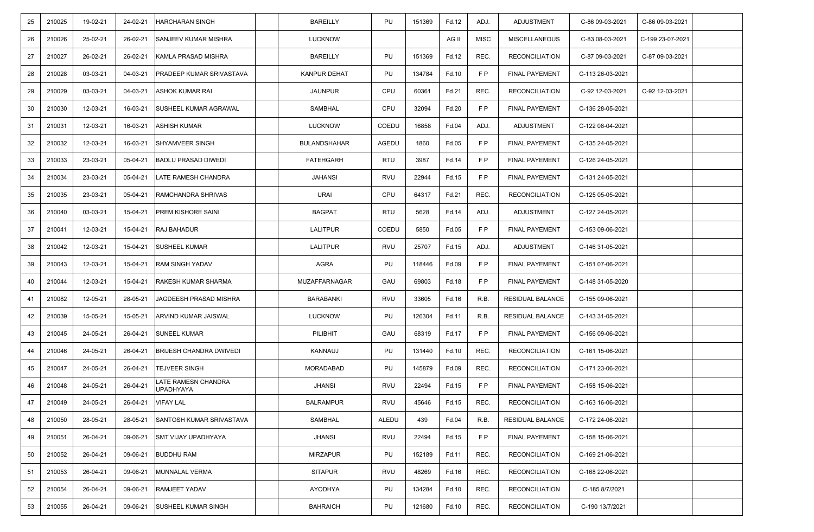| 25 | 210025 | 19-02-21 | 24-02-21 | <b>HARCHARAN SINGH</b>                  | <b>BAREILLY</b>     | PU           | 151369 | Fd.12 | ADJ.        | ADJUSTMENT            | C-86 09-03-2021  | C-86 09-03-2021  |  |
|----|--------|----------|----------|-----------------------------------------|---------------------|--------------|--------|-------|-------------|-----------------------|------------------|------------------|--|
| 26 | 210026 | 25-02-21 | 26-02-21 | SANJEEV KUMAR MISHRA                    | <b>LUCKNOW</b>      |              |        | AG II | <b>MISC</b> | <b>MISCELLANEOUS</b>  | C-83 08-03-2021  | C-199 23-07-2021 |  |
| 27 | 210027 | 26-02-21 | 26-02-21 | KAMLA PRASAD MISHRA                     | <b>BAREILLY</b>     | PU           | 151369 | Fd.12 | REC.        | <b>RECONCILIATION</b> | C-87 09-03-2021  | C-87 09-03-2021  |  |
| 28 | 210028 | 03-03-21 | 04-03-21 | <b>PRADEEP KUMAR SRIVASTAVA</b>         | <b>KANPUR DEHAT</b> | PU           | 134784 | Fd.10 | FP          | FINAL PAYEMENT        | C-113 26-03-2021 |                  |  |
| 29 | 210029 | 03-03-21 | 04-03-21 | <b>ASHOK KUMAR RAI</b>                  | JAUNPUR             | CPU          | 60361  | Fd.21 | REC.        | <b>RECONCILIATION</b> | C-92 12-03-2021  | C-92 12-03-2021  |  |
| 30 | 210030 | 12-03-21 | 16-03-21 | SUSHEEL KUMAR AGRAWAL                   | SAMBHAL             | CPU          | 32094  | Fd.20 | F P         | <b>FINAL PAYEMENT</b> | C-136 28-05-2021 |                  |  |
| 31 | 210031 | 12-03-21 | 16-03-21 | <b>ASHISH KUMAR</b>                     | <b>LUCKNOW</b>      | COEDU        | 16858  | Fd.04 | ADJ.        | ADJUSTMENT            | C-122 08-04-2021 |                  |  |
| 32 | 210032 | 12-03-21 | 16-03-21 | <b>SHYAMVEER SINGH</b>                  | <b>BULANDSHAHAR</b> | <b>AGEDU</b> | 1860   | Fd.05 | FP          | <b>FINAL PAYEMENT</b> | C-135 24-05-2021 |                  |  |
| 33 | 210033 | 23-03-21 | 05-04-21 | <b>BADLU PRASAD DIWEDI</b>              | <b>FATEHGARH</b>    | RTU          | 3987   | Fd.14 | F P         | <b>FINAL PAYEMENT</b> | C-126 24-05-2021 |                  |  |
| 34 | 210034 | 23-03-21 | 05-04-21 | LATE RAMESH CHANDRA                     | <b>JAHANSI</b>      | RVU          | 22944  | Fd.15 | FP          | <b>FINAL PAYEMENT</b> | C-131 24-05-2021 |                  |  |
| 35 | 210035 | 23-03-21 | 05-04-21 | RAMCHANDRA SHRIVAS                      | URAI                | CPU          | 64317  | Fd.21 | REC.        | <b>RECONCILIATION</b> | C-125 05-05-2021 |                  |  |
| 36 | 210040 | 03-03-21 | 15-04-21 | <b>PREM KISHORE SAINI</b>               | <b>BAGPAT</b>       | <b>RTU</b>   | 5628   | Fd.14 | ADJ.        | ADJUSTMENT            | C-127 24-05-2021 |                  |  |
| 37 | 210041 | 12-03-21 | 15-04-21 | <b>RAJ BAHADUR</b>                      | LALITPUR            | COEDU        | 5850   | Fd.05 | F P         | <b>FINAL PAYEMENT</b> | C-153 09-06-2021 |                  |  |
| 38 | 210042 | 12-03-21 | 15-04-21 | <b>SUSHEEL KUMAR</b>                    | LALITPUR            | RVU          | 25707  | Fd.15 | ADJ.        | ADJUSTMENT            | C-146 31-05-2021 |                  |  |
| 39 | 210043 | 12-03-21 | 15-04-21 | <b>RAM SINGH YADAV</b>                  | <b>AGRA</b>         | PU           | 118446 | Fd.09 | FP          | <b>FINAL PAYEMENT</b> | C-151 07-06-2021 |                  |  |
| 40 | 210044 | 12-03-21 | 15-04-21 | <b>RAKESH KUMAR SHARMA</b>              | MUZAFFARNAGAR       | GAU          | 69803  | Fd.18 | F P         | <b>FINAL PAYEMENT</b> | C-148 31-05-2020 |                  |  |
| 41 | 210082 | 12-05-21 | 28-05-21 | JAGDEESH PRASAD MISHRA                  | BARABANKI           | RVU          | 33605  | Fd.16 | R.B.        | RESIDUAL BALANCE      | C-155 09-06-2021 |                  |  |
| 42 | 210039 | 15-05-21 | 15-05-21 | ARVIND KUMAR JAISWAL                    | <b>LUCKNOW</b>      | PU           | 126304 | Fd.11 | R.B.        | RESIDUAL BALANCE      | C-143 31-05-2021 |                  |  |
| 43 | 210045 | 24-05-21 | 26-04-21 | <b>SUNEEL KUMAR</b>                     | PILIBHIT            | GAU          | 68319  | Fd.17 | FP          | FINAL PAYEMENT        | C-156 09-06-2021 |                  |  |
| 44 | 210046 | 24-05-21 | 26-04-21 | <b>BRIJESH CHANDRA DWIVEDI</b>          | KANNAUJ             | PU           | 131440 | Fd.10 | REC.        | <b>RECONCILIATION</b> | C-161 15-06-2021 |                  |  |
| 45 | 210047 | 24-05-21 | 26-04-21 | <b>TEJVEER SINGH</b>                    | MORADABAD           | PU           | 145879 | Fd.09 | REC.        | <b>RECONCILIATION</b> | C-171 23-06-2021 |                  |  |
| 46 | 210048 | 24-05-21 | 26-04-21 | LATE RAMESN CHANDRA<br><b>UPADHYAYA</b> | <b>JHANSI</b>       | RVU          | 22494  | Fd.15 | FP.         | <b>FINAL PAYEMENT</b> | C-158 15-06-2021 |                  |  |
| 47 | 210049 | 24-05-21 | 26-04-21 | <b>VIFAY LAL</b>                        | <b>BALRAMPUR</b>    | RVU          | 45646  | Fd.15 | REC.        | <b>RECONCILIATION</b> | C-163 16-06-2021 |                  |  |
| 48 | 210050 | 28-05-21 | 28-05-21 | SANTOSH KUMAR SRIVASTAVA                | SAMBHAL             | ALEDU        | 439    | Fd.04 | R.B.        | RESIDUAL BALANCE      | C-172 24-06-2021 |                  |  |
| 49 | 210051 | 26-04-21 | 09-06-21 | <b>SMT VIJAY UPADHYAYA</b>              | <b>JHANSI</b>       | <b>RVU</b>   | 22494  | Fd.15 | FP          | FINAL PAYEMENT        | C-158 15-06-2021 |                  |  |
| 50 | 210052 | 26-04-21 | 09-06-21 | <b>BUDDHU RAM</b>                       | <b>MIRZAPUR</b>     | PU           | 152189 | Fd.11 | REC.        | <b>RECONCILIATION</b> | C-169 21-06-2021 |                  |  |
| 51 | 210053 | 26-04-21 | 09-06-21 | MUNNALAL VERMA                          | <b>SITAPUR</b>      | <b>RVU</b>   | 48269  | Fd.16 | REC.        | <b>RECONCILIATION</b> | C-168 22-06-2021 |                  |  |
| 52 | 210054 | 26-04-21 | 09-06-21 | <b>RAMJEET YADAV</b>                    | AYODHYA             | PU           | 134284 | Fd.10 | REC.        | <b>RECONCILIATION</b> | C-185 8/7/2021   |                  |  |
| 53 | 210055 | 26-04-21 | 09-06-21 | <b>SUSHEEL KUMAR SINGH</b>              | <b>BAHRAICH</b>     | PU           | 121680 | Fd.10 | REC.        | <b>RECONCILIATION</b> | C-190 13/7/2021  |                  |  |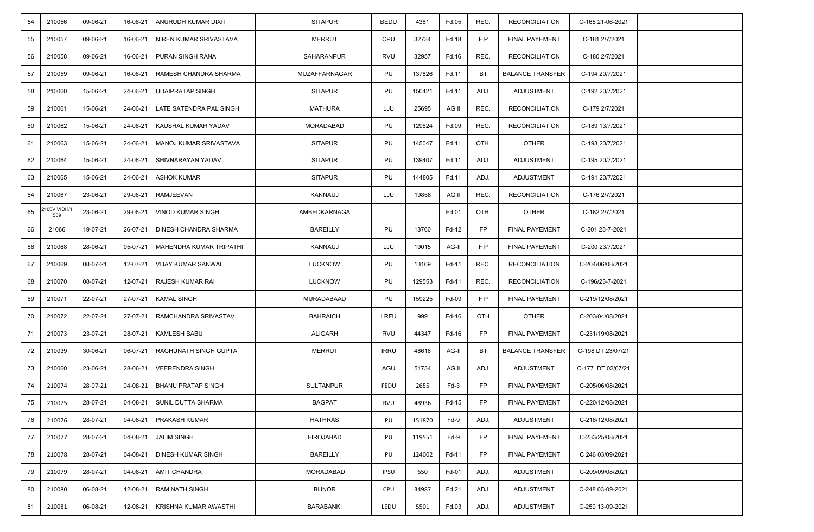| 54 | 210056            | 09-06-21 | 16-06-21 | <b>ANURUDH KUMAR DIXIT</b>   | <b>SITAPUR</b>   | <b>BEDU</b> | 4381   | Fd.05  | REC.      | <b>RECONCILIATION</b>   | C-165 21-06-2021  |  |
|----|-------------------|----------|----------|------------------------------|------------------|-------------|--------|--------|-----------|-------------------------|-------------------|--|
| 55 | 210057            | 09-06-21 | 16-06-21 | NIREN KUMAR SRIVASTAVA       | <b>MERRUT</b>    | CPU         | 32734  | Fd.18  | FP        | <b>FINAL PAYEMENT</b>   | C-181 2/7/2021    |  |
| 56 | 210058            | 09-06-21 | 16-06-21 | PURAN SINGH RANA             | SAHARANPUR       | RVU         | 32957  | Fd.16  | REC.      | <b>RECONCILIATION</b>   | C-180 2/7/2021    |  |
| 57 | 210059            | 09-06-21 | 16-06-21 | RAMESH CHANDRA SHARMA        | MUZAFFARNAGAR    | PU          | 137826 | Fd.11  | ВT        | <b>BALANCE TRANSFER</b> | C-194 20/7/2021   |  |
| 58 | 210060            | 15-06-21 | 24-06-21 | UDAIPRATAP SINGH             | <b>SITAPUR</b>   | PU          | 150421 | Fd.11  | ADJ.      | ADJUSTMENT              | C-192 20/7/2021   |  |
| 59 | 210061            | 15-06-21 | 24-06-21 | LATE SATENDRA PAL SINGH      | <b>MATHURA</b>   | LJU         | 25695  | AG II  | REC.      | <b>RECONCILIATION</b>   | C-179 2/7/2021    |  |
| 60 | 210062            | 15-06-21 | 24-06-21 | KAUSHAL KUMAR YADAV          | MORADABAD        | PU          | 129624 | Fd.09  | REC.      | <b>RECONCILIATION</b>   | C-189 13/7/2021   |  |
| 61 | 210063            | 15-06-21 | 24-06-21 | MANOJ KUMAR SRIVASTAVA       | <b>SITAPUR</b>   | PU          | 145047 | Fd.11  | OTH.      | <b>OTHER</b>            | C-193 20/7/2021   |  |
| 62 | 210064            | 15-06-21 | 24-06-21 | SHIVNARAYAN YADAV            | <b>SITAPUR</b>   | PU          | 139407 | Fd.11  | ADJ.      | ADJUSTMENT              | C-195 20/7/2021   |  |
| 63 | 210065            | 15-06-21 | 24-06-21 | <b>ASHOK KUMAR</b>           | <b>SITAPUR</b>   | PU          | 144805 | Fd.11  | ADJ.      | ADJUSTMENT              | C-191 20/7/2021   |  |
| 64 | 210067            | 23-06-21 | 29-06-21 | <b>RAMJEEVAN</b>             | KANNAUJ          | LJU         | 19858  | AG II  | REC.      | <b>RECONCILIATION</b>   | C-176 2/7/2021    |  |
| 65 | 100VIVIDH/<br>569 | 23-06-21 | 29-06-21 | <b>VINOD KUMAR SINGH</b>     | AMBEDKARNAGA     |             |        | Fd.01  | OTH.      | <b>OTHER</b>            | C-182 2/7/2021    |  |
| 66 | 21066             | 19-07-21 | 26-07-21 | <b>DINESH CHANDRA SHARMA</b> | <b>BAREILLY</b>  | PU          | 13760  | Fd-12  | FP        | <b>FINAL PAYEMENT</b>   | C-201 23-7-2021   |  |
| 66 | 210068            | 28-06-21 | 05-07-21 | MAHENDRA KUMAR TRIPATHI      | KANNAUJ          | LJU         | 19015  | AG-II  | FP        | FINAL PAYEMENT          | C-200 23/7/2021   |  |
| 67 | 210069            | 08-07-21 | 12-07-21 | VIJAY KUMAR SANWAL           | <b>LUCKNOW</b>   | PU          | 13169  | Fd-11  | REC.      | <b>RECONCILIATION</b>   | C-204/06/08/2021  |  |
| 68 | 210070            | 08-07-21 | 12-07-21 | <b>RAJESH KUMAR RAI</b>      | <b>LUCKNOW</b>   | PU          | 129553 | Fd-11  | REC.      | <b>RECONCILIATION</b>   | C-196/23-7-2021   |  |
| 69 | 210071            | 22-07-21 | 27-07-21 | <b>KAMAL SINGH</b>           | MURADABAAD       | PU          | 159225 | Fd-09  | F P       | <b>FINAL PAYEMENT</b>   | C-219/12/08/2021  |  |
| 70 | 210072            | 22-07-21 | 27-07-21 | RAMCHANDRA SRIVASTAV         | <b>BAHRAICH</b>  | LRFU        | 999    | Fd-16  | OTH       | <b>OTHER</b>            | C-203/04/08/2021  |  |
| 71 | 210073            | 23-07-21 | 28-07-21 | <b>KAMLESH BABU</b>          | <b>ALIGARH</b>   | RVU         | 44347  | Fd-16  | FP        | <b>FINAL PAYEMENT</b>   | C-231/19/08/2021  |  |
| 72 | 210039            | 30-06-21 | 06-07-21 | <b>RAGHUNATH SINGH GUPTA</b> | <b>MERRUT</b>    | <b>IRRU</b> | 48616  | AG-II  | ВT        | <b>BALANCE TRANSFER</b> | C-198 DT.23/07/21 |  |
| 73 | 210060            | 23-06-21 | 28-06-21 | <b>VEERENDRA SINGH</b>       |                  | AGU         | 51734  | AG II  | ADJ.      | ADJUSTMENT              | C-177 DT.02/07/21 |  |
| 74 | 210074            | 28-07-21 | 04-08-21 | <b>BHANU PRATAP SINGH</b>    | <b>SULTANPUR</b> | <b>FEDU</b> | 2655   | $Fd-3$ | FP        | <b>FINAL PAYEMENT</b>   | C-205/06/08/2021  |  |
| 75 | 210075            | 28-07-21 | 04-08-21 | SUNIL DUTTA SHARMA           | <b>BAGPAT</b>    | RVU         | 48936  | Fd-15  | FP        | FINAL PAYEMENT          | C-220/12/08/2021  |  |
| 76 | 210076            | 28-07-21 | 04-08-21 | <b>PRAKASH KUMAR</b>         | <b>HATHRAS</b>   | PU          | 151870 | Fd-9   | ADJ.      | ADJUSTMENT              | C-218/12/08/2021  |  |
| 77 | 210077            | 28-07-21 | 04-08-21 | <b>JALIM SINGH</b>           | <b>FIROJABAD</b> | PU          | 119551 | $Fd-9$ | <b>FP</b> | <b>FINAL PAYEMENT</b>   | C-233/25/08/2021  |  |
| 78 | 210078            | 28-07-21 | 04-08-21 | <b>DINESH KUMAR SINGH</b>    | BAREILLY         | PU          | 124002 | Fd-11  | FP        | <b>FINAL PAYEMENT</b>   | C 246 03/09/2021  |  |
| 79 | 210079            | 28-07-21 | 04-08-21 | <b>AMIT CHANDRA</b>          | MORADABAD        | <b>IPSU</b> | 650    | Fd-01  | ADJ.      | ADJUSTMENT              | C-209/09/08/2021  |  |
| 80 | 210080            | 06-08-21 | 12-08-21 | <b>RAM NATH SINGH</b>        | <b>BIJNOR</b>    | CPU         | 34987  | Fd.21  | ADJ.      | ADJUSTMENT              | C-248 03-09-2021  |  |
| 81 | 210081            | 06-08-21 | 12-08-21 | KRISHNA KUMAR AWASTHI        | <b>BARABANKI</b> | LEDU        | 5501   | Fd.03  | ADJ.      | <b>ADJUSTMENT</b>       | C-259 13-09-2021  |  |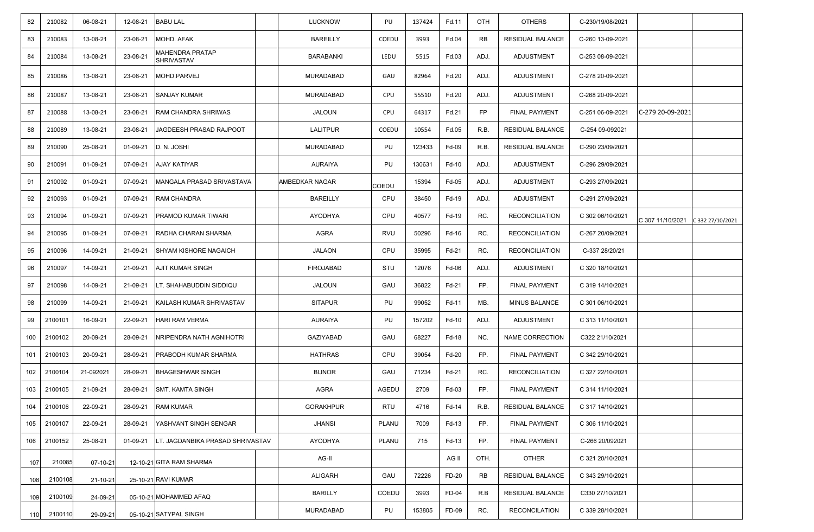| 82  | 210082  | 06-08-21  | 12-08-21 | <b>BABU LAL</b>                  | <b>LUCKNOW</b>   | PU           | 137424 | Fd.11 | OTH       | <b>OTHERS</b>           | C-230/19/08/2021 |                  |                  |
|-----|---------|-----------|----------|----------------------------------|------------------|--------------|--------|-------|-----------|-------------------------|------------------|------------------|------------------|
| 83  | 210083  | 13-08-21  | 23-08-21 | MOHD. AFAK                       | <b>BAREILLY</b>  | COEDU        | 3993   | Fd.04 | <b>RB</b> | RESIDUAL BALANCE        | C-260 13-09-2021 |                  |                  |
| 84  | 210084  | 13-08-21  | 23-08-21 | MAHENDRA PRATAP<br>SHRIVASTAV    | <b>BARABANKI</b> | LEDU         | 5515   | Fd.03 | ADJ.      | ADJUSTMENT              | C-253 08-09-2021 |                  |                  |
| 85  | 210086  | 13-08-21  | 23-08-21 | MOHD.PARVEJ                      | MURADABAD        | GAU          | 82964  | Fd.20 | ADJ.      | ADJUSTMENT              | C-278 20-09-2021 |                  |                  |
| 86  | 210087  | 13-08-21  | 23-08-21 | <b>SANJAY KUMAR</b>              | MURADABAD        | CPU          | 55510  | Fd.20 | ADJ.      | ADJUSTMENT              | C-268 20-09-2021 |                  |                  |
| 87  | 210088  | 13-08-21  | 23-08-21 | RAM CHANDRA SHRIWAS              | JALOUN           | <b>CPU</b>   | 64317  | Fd.21 | FP        | <b>FINAL PAYMENT</b>    | C-251 06-09-2021 | C-279 20-09-2021 |                  |
| 88  | 210089  | 13-08-21  | 23-08-21 | JAGDEESH PRASAD RAJPOOT          | <b>LALITPUR</b>  | <b>COEDU</b> | 10554  | Fd.05 | R.B.      | RESIDUAL BALANCE        | C-254 09-092021  |                  |                  |
| 89  | 210090  | 25-08-21  | 01-09-21 | D. N. JOSHI                      | MURADABAD        | PU           | 123433 | Fd-09 | R.B.      | RESIDUAL BALANCE        | C-290 23/09/2021 |                  |                  |
| 90  | 210091  | 01-09-21  | 07-09-21 | <b>AJAY KATIYAR</b>              | <b>AURAIYA</b>   | PU           | 130631 | Fd-10 | ADJ.      | ADJUSTMENT              | C-296 29/09/2021 |                  |                  |
| 91  | 210092  | 01-09-21  | 07-09-21 | MANGALA PRASAD SRIVASTAVA        | AMBEDKAR NAGAR   | COEDU        | 15394  | Fd-05 | ADJ.      | ADJUSTMENT              | C-293 27/09/2021 |                  |                  |
| 92  | 210093  | 01-09-21  | 07-09-21 | RAM CHANDRA                      | <b>BAREILLY</b>  | <b>CPU</b>   | 38450  | Fd-19 | ADJ.      | ADJUSTMENT              | C-291 27/09/2021 |                  |                  |
| 93  | 210094  | 01-09-21  | 07-09-21 | PRAMOD KUMAR TIWARI              | AYODHYA          | CPU          | 40577  | Fd-19 | RC.       | <b>RECONCILIATION</b>   | C 302 06/10/2021 | C 307 11/10/2021 | C 332 27/10/2021 |
| 94  | 210095  | 01-09-21  | 07-09-21 | RADHA CHARAN SHARMA              | AGRA             | <b>RVU</b>   | 50296  | Fd-16 | RC.       | <b>RECONCILIATION</b>   | C-267 20/09/2021 |                  |                  |
| 95  | 210096  | 14-09-21  | 21-09-21 | <b>SHYAM KISHORE NAGAICH</b>     | <b>JALAON</b>    | CPU          | 35995  | Fd-21 | RC.       | <b>RECONCILIATION</b>   | C-337 28/20/21   |                  |                  |
| 96  | 210097  | 14-09-21  | 21-09-21 | <b>AJIT KUMAR SINGH</b>          | <b>FIROJABAD</b> | STU          | 12076  | Fd-06 | ADJ.      | ADJUSTMENT              | C 320 18/10/2021 |                  |                  |
| 97  | 210098  | 14-09-21  | 21-09-21 | LT. SHAHABUDDIN SIDDIQU          | <b>JALOUN</b>    | GAU          | 36822  | Fd-21 | FP.       | FINAL PAYMENT           | C 319 14/10/2021 |                  |                  |
| 98  | 210099  | 14-09-21  | 21-09-21 | KAILASH KUMAR SHRIVASTAV         | <b>SITAPUR</b>   | PU           | 99052  | Fd-11 | MB.       | MINUS BALANCE           | C 301 06/10/2021 |                  |                  |
| 99  | 2100101 | 16-09-21  | 22-09-21 | HARI RAM VERMA                   | AURAIYA          | PU           | 157202 | Fd-10 | ADJ.      | ADJUSTMENT              | C 313 11/10/2021 |                  |                  |
| 100 | 2100102 | 20-09-21  | 28-09-21 | VRIPENDRA NATH AGNIHOTRI         | <b>GAZIYABAD</b> | GAU          | 68227  | Fd-18 | NC.       | NAME CORRECTION         | C322 21/10/2021  |                  |                  |
| 101 | 2100103 | 20-09-21  | 28-09-21 | PRABODH KUMAR SHARMA             | <b>HATHRAS</b>   | CPU          | 39054  | Fd-20 | FP.       | <b>FINAL PAYMENT</b>    | C 342 29/10/2021 |                  |                  |
| 102 | 2100104 | 21-092021 | 28-09-21 | <b>BHAGESHWAR SINGH</b>          | <b>BIJNOR</b>    | GAU          | 71234  | Fd-21 | RC.       | <b>RECONCILIATION</b>   | C 327 22/10/2021 |                  |                  |
| 103 | 2100105 | 21-09-21  | 28-09-21 | <b>SMT. KAMTA SINGH</b>          | AGRA             | AGEDU        | 2709   | Fd-03 | FP.       | <b>FINAL PAYMENT</b>    | C 314 11/10/2021 |                  |                  |
| 104 | 2100106 | 22-09-21  | 28-09-21 | <b>RAM KUMAR</b>                 | <b>GORAKHPUR</b> | RTU          | 4716   | Fd-14 | R.B.      | RESIDUAL BALANCE        | C 317 14/10/2021 |                  |                  |
| 105 | 2100107 | 22-09-21  | 28-09-21 | YASHVANT SINGH SENGAR            | <b>JHANSI</b>    | PLANU        | 7009   | Fd-13 | FP.       | <b>FINAL PAYMENT</b>    | C 306 11/10/2021 |                  |                  |
| 106 | 2100152 | 25-08-21  | 01-09-21 | LT. JAGDANBIKA PRASAD SHRIVASTAV | AYODHYA          | PLANU        | 715    | Fd-13 | FP.       | FINAL PAYMENT           | C-266 20/092021  |                  |                  |
| 107 | 210085  | 07-10-21  |          | 12-10-21 GITA RAM SHARMA         | AG-II            |              |        | AG II | OTH.      | <b>OTHER</b>            | C 321 20/10/2021 |                  |                  |
| 108 | 2100108 | 21-10-21  |          | 25-10-21 RAVI KUMAR              | ALIGARH          | GAU          | 72226  | FD-20 | <b>RB</b> | <b>RESIDUAL BALANCE</b> | C 343 29/10/2021 |                  |                  |
| 109 | 2100109 | 24-09-21  |          | 05-10-21 MOHAMMED AFAQ           | <b>BARILLY</b>   | COEDU        | 3993   | FD-04 | R.B       | RESIDUAL BALANCE        | C330 27/10/2021  |                  |                  |
| 110 | 2100110 | 29-09-21  |          | 05-10-21 SATYPAL SINGH           | MURADABAD        | PU           | 153805 | FD-09 | RC.       | <b>RECONCILATION</b>    | C 339 28/10/2021 |                  |                  |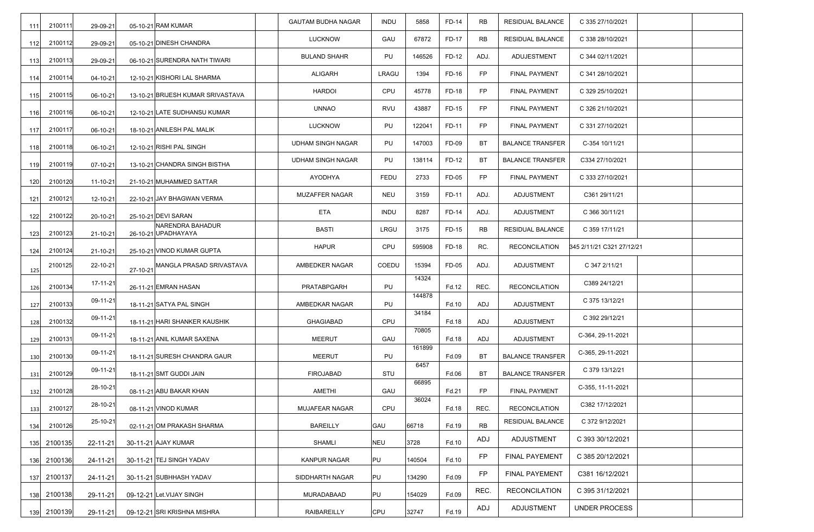| 111 | 2100111 | 29-09-21 |          | 05-10-21 RAM KUMAR                      | <b>GAUTAM BUDHA NAGAR</b> | <b>INDU</b> | 5858   | FD-14 | RB   | RESIDUAL BALANCE        | C 335 27/10/2021          |  |
|-----|---------|----------|----------|-----------------------------------------|---------------------------|-------------|--------|-------|------|-------------------------|---------------------------|--|
| 112 | 2100112 | 29-09-21 |          | 05-10-21 DINESH CHANDRA                 | LUCKNOW                   | GAU         | 67872  | FD-17 | RB   | RESIDUAL BALANCE        | C 338 28/10/2021          |  |
| 113 | 2100113 | 29-09-21 |          | 06-10-21 SURENDRA NATH TIWARI           | <b>BULAND SHAHR</b>       | PU          | 146526 | FD-12 | ADJ. | ADUJESTMENT             | C 344 02/11/2021          |  |
| 114 | 2100114 | 04-10-21 |          | 12-10-21 KISHORI LAL SHARMA             | ALIGARH                   | LRAGU       | 1394   | FD-16 | FP   | FINAL PAYMENT           | C 341 28/10/2021          |  |
| 115 | 2100115 | 06-10-21 |          | 13-10-21 BRIJESH KUMAR SRIVASTAVA       | <b>HARDOI</b>             | CPU         | 45778  | FD-18 | FP   | FINAL PAYMENT           | C 329 25/10/2021          |  |
| 116 | 2100116 | 06-10-21 |          | 12-10-21 LATE SUDHANSU KUMAR            | <b>UNNAO</b>              | <b>RVU</b>  | 43887  | FD-15 | FP   | <b>FINAL PAYMENT</b>    | C 326 21/10/2021          |  |
| 117 | 2100117 | 06-10-21 |          | 18-10-21 ANILESH PAL MALIK              | LUCKNOW                   | PU          | 122041 | FD-11 | FP   | FINAL PAYMENT           | C 331 27/10/2021          |  |
| 118 | 2100118 | 06-10-21 |          | 12-10-21 RISHI PAL SINGH                | <b>UDHAM SINGH NAGAR</b>  | PU          | 147003 | FD-09 | BT   | <b>BALANCE TRANSFER</b> | C-354 10/11/21            |  |
| 119 | 2100119 | 07-10-21 |          | 13-10-21 CHANDRA SINGH BISTHA           | <b>UDHAM SINGH NAGAR</b>  | PU          | 138114 | FD-12 | ВT   | <b>BALANCE TRANSFER</b> | C334 27/10/2021           |  |
| 120 | 2100120 | 11-10-21 |          | 21-10-21 MUHAMMED SATTAR                | <b>AYODHYA</b>            | <b>FEDU</b> | 2733   | FD-05 | FP   | <b>FINAL PAYMENT</b>    | C 333 27/10/2021          |  |
| 121 | 2100121 | 12-10-21 |          | 22-10-21 JAY BHAGWAN VERMA              | MUZAFFER NAGAR            | <b>NEU</b>  | 3159   | FD-11 | ADJ. | ADJUSTMENT              | C361 29/11/21             |  |
| 122 | 2100122 | 20-10-21 |          | 25-10-21 DEVI SARAN                     | <b>ETA</b>                | <b>INDU</b> | 8287   | FD-14 | ADJ. | <b>ADJUSTMENT</b>       | C 366 30/11/21            |  |
| 123 | 2100123 | 21-10-21 |          | NARENDRA BAHADUR<br>26-10-21 UPADHAYAYA | <b>BASTI</b>              | LRGU        | 3175   | FD-15 | RB   | RESIDUAL BALANCE        | C 359 17/11/21            |  |
| 124 | 2100124 | 21-10-21 |          | 25-10-21 VINOD KUMAR GUPTA              | <b>HAPUR</b>              | CPU         | 595908 | FD-18 | RC.  | <b>RECONCILATION</b>    | 345 2/11/21 C321 27/12/21 |  |
| 125 | 2100125 | 22-10-21 | 27-10-21 | MANGLA PRASAD SRIVASTAVA                | AMBEDKER NAGAR            | COEDU       | 15394  | FD-05 | ADJ. | ADJUSTMENT              | C 347 2/11/21             |  |
| 126 | 2100134 | 17-11-21 |          | 26-11-21 EMRAN HASAN                    | PRATABPGARH               | PU          | 14324  | Fd.12 | REC. | <b>RECONCILATION</b>    | C389 24/12/21             |  |
| 127 | 2100133 | 09-11-21 |          | 18-11-21 SATYA PAL SINGH                | AMBEDKAR NAGAR            | PU          | 144878 | Fd.10 | ADJ  | <b>ADJUSTMENT</b>       | C 375 13/12/21            |  |
| 128 | 2100132 | 09-11-21 |          | 18-11-21 HARI SHANKER KAUSHIK           | <b>GHAGIABAD</b>          | CPU         | 34184  | Fd.18 | ADJ  | ADJUSTMENT              | C 392 29/12/21            |  |
| 129 | 2100131 | 09-11-21 |          | 18-11-21 ANIL KUMAR SAXENA              | <b>MEERUT</b>             | GAU         | 70805  | Fd.18 | ADJ  | ADJUSTMENT              | C-364, 29-11-2021         |  |
| 130 | 2100130 | 09-11-21 |          | 18-11-21 SURESH CHANDRA GAUR            | <b>MEERUT</b>             | PU          | 161899 | Fd.09 | BT   | <b>BALANCE TRANSFER</b> | C-365, 29-11-2021         |  |
| 131 | 2100129 | 09-11-21 |          | 18-11-21 SMT GUDDI JAIN                 | <b>FIROJABAD</b>          | STU         | 6457   | Fd.06 | BT   | <b>BALANCE TRANSFER</b> | C 379 13/12/21            |  |
| 132 | 2100128 | 28-10-21 |          | 08-11-21 ABU BAKAR KHAN                 | AMETHI                    | GAU         | 66895  | Fd.21 | FP   | <b>FINAL PAYMENT</b>    | C-355, 11-11-2021         |  |
| 133 | 2100127 | 28-10-21 |          | 08-11-21 VINOD KUMAR                    | MUJAFEAR NAGAR            | CPU         | 36024  | Fd.18 | REC. | <b>RECONCILATION</b>    | C382 17/12/2021           |  |
| 134 | 2100126 | 25-10-21 |          | 02-11-21 OM PRAKASH SHARMA              | <b>BAREILLY</b>           | GAU         | 66718  | Fd.19 | RB   | RESIDUAL BALANCE        | C 372 9/12/2021           |  |
| 135 | 2100135 | 22-11-21 |          | 30-11-21 AJAY KUMAR                     | SHAMLI                    | NEU         | 3728   | Fd.10 | ADJ  | <b>ADJUSTMENT</b>       | C 393 30/12/2021          |  |
| 136 | 2100136 | 24-11-21 |          | 30-11-21 TEJ SINGH YADAV                | KANPUR NAGAR              | PU          | 140504 | Fd.10 | FP   | <b>FINAL PAYEMENT</b>   | C 385 20/12/2021          |  |
| 137 | 2100137 | 24-11-21 |          | 30-11-21 SUBHHASH YADAV                 | SIDDHARTH NAGAR           | PU          | 134290 | Fd.09 | FP   | <b>FINAL PAYEMENT</b>   | C381 16/12/2021           |  |
| 138 | 2100138 | 29-11-21 |          | 09-12-21 Let. VIJAY SINGH               | <b>MURADABAAD</b>         | PU          | 154029 | Fd.09 | REC. | <b>RECONCILATION</b>    | C 395 31/12/2021          |  |
| 139 | 2100139 | 29-11-21 |          | 09-12-21 SRI KRISHNA MISHRA             | <b>RAIBAREILLY</b>        | CPU         | 32747  | Fd.19 | ADJ  | ADJUSTMENT              | UNDER PROCESS             |  |